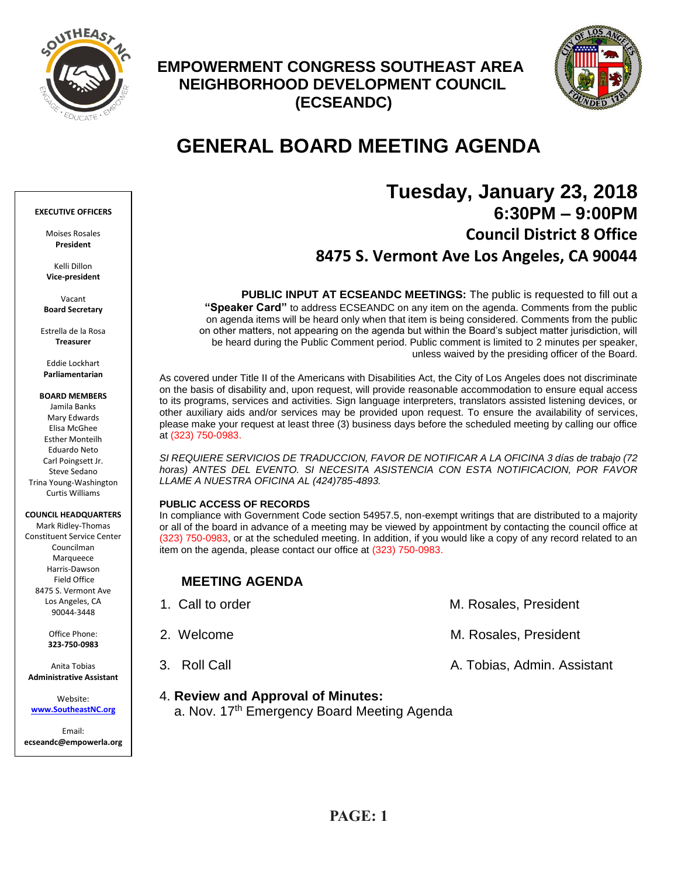

## **EMPOWERMENT CONGRESS SOUTHEAST AREA NEIGHBORHOOD DEVELOPMENT COUNCIL (ECSEANDC)**



# **GENERAL BOARD MEETING AGENDA**

## **Tuesday, January 23, 2018 6:30PM – 9:00PM Council District 8 Office 8475 S. Vermont Ave Los Angeles, CA 90044**

**PUBLIC INPUT AT ECSEANDC MEETINGS:** The public is requested to fill out a **"Speaker Card"** to address ECSEANDC on any item on the agenda. Comments from the public on agenda items will be heard only when that item is being considered. Comments from the public on other matters, not appearing on the agenda but within the Board's subject matter jurisdiction, will be heard during the Public Comment period. Public comment is limited to 2 minutes per speaker, unless waived by the presiding officer of the Board.

As covered under Title II of the Americans with Disabilities Act, the City of Los Angeles does not discriminate on the basis of disability and, upon request, will provide reasonable accommodation to ensure equal access to its programs, services and activities. Sign language interpreters, translators assisted listening devices, or other auxiliary aids and/or services may be provided upon request. To ensure the availability of services, please make your request at least three (3) business days before the scheduled meeting by calling our office at (323) 750-0983.

*SI REQUIERE SERVICIOS DE TRADUCCION, FAVOR DE NOTIFICAR A LA OFICINA 3 días de trabajo (72 horas) ANTES DEL EVENTO. SI NECESITA ASISTENCIA CON ESTA NOTIFICACION, POR FAVOR LLAME A NUESTRA OFICINA AL (424)785-4893.*

#### **PUBLIC ACCESS OF RECORDS**

In compliance with Government Code section 54957.5, non-exempt writings that are distributed to a majority or all of the board in advance of a meeting may be viewed by appointment by contacting the council office at (323) 750-0983, or at the scheduled meeting. In addition, if you would like a copy of any record related to an item on the agenda, please contact our office at (323) 750-0983.

## **MEETING AGENDA**

| 1. Call to order | M. Rosales, President       |
|------------------|-----------------------------|
| 2. Welcome       | M. Rosales, President       |
| 3. Roll Call     | A. Tobias, Admin. Assistant |

## 4. **Review and Approval of Minutes:**

a. Nov. 17<sup>th</sup> Emergency Board Meeting Agenda

#### **EXECUTIVE OFFICERS**

Moises Rosales **President**

Kelli Dillon **Vice-president**

Vacant **Board Secretary**

Estrella de la Rosa **Treasurer**

Eddie Lockhart **Parliamentarian**

**BOARD MEMBERS**

Jamila Banks Mary Edwards Elisa McGhee Esther Monteilh Eduardo Neto Carl Poingsett Jr. Steve Sedano Trina Young-Washington Curtis Williams

#### **COUNCIL HEADQUARTERS**

Mark Ridley-Thomas Constituent Service Center Councilman Marqueece Harris-Dawson Field Office 8475 S. Vermont Ave Los Angeles, CA 90044-3448

> Office Phone: **323-750-0983**

Anita Tobias **Administrative Assistant**

Website: **[www.SoutheastNC.org](http://www.ecseandc.org/)**

Email: **ecseandc@empowerla.org**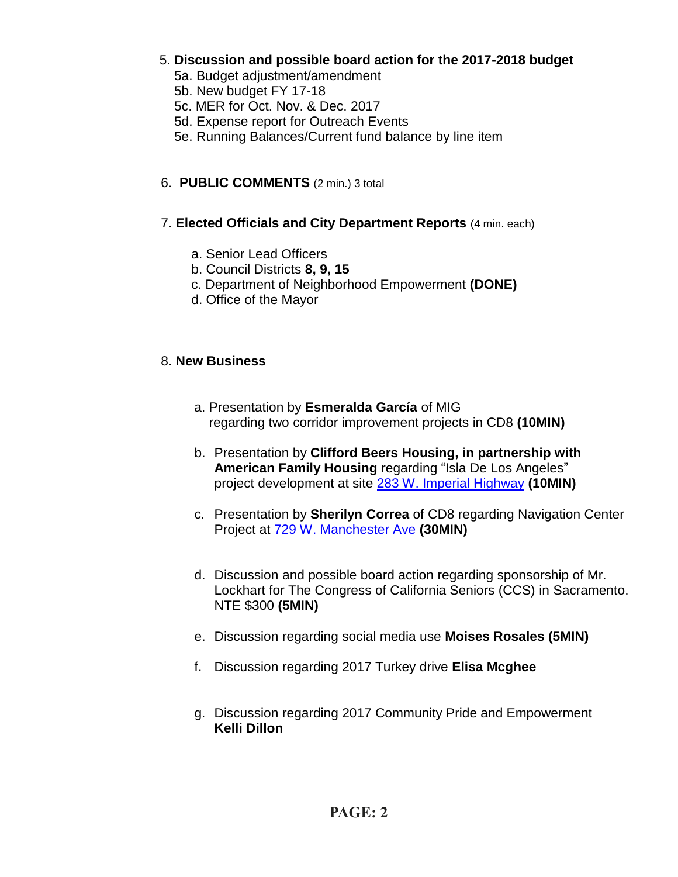- 5. **Discussion and possible board action for the 2017-2018 budget**
	- 5a. Budget adjustment/amendment
	- 5b. New budget FY 17-18
	- 5c. MER for Oct. Nov. & Dec. 2017
	- 5d. Expense report for Outreach Events
	- 5e. Running Balances/Current fund balance by line item

## 6. **PUBLIC COMMENTS** (2 min.) 3 total

- 7. **Elected Officials and City Department Reports** (4 min. each)
	- a. Senior Lead Officers
	- b. Council Districts **8, 9, 15**
	- c. Department of Neighborhood Empowerment **(DONE)**
	- d. Office of the Mayor

## 8. **New Business**

- a. Presentation by **Esmeralda García** of MIG regarding two corridor improvement projects in CD8 **(10MIN)**
- b. Presentation by **Clifford Beers Housing, in partnership with American Family Housing** regarding "Isla De Los Angeles" project development at site [283 W. Imperial Highway](https://maps.google.com/?q=283+W.+Imperial+Highway&entry=gmail&source=g) **(10MIN)**
- c. Presentation by **Sherilyn Correa** of CD8 regarding Navigation Center Project at [729 W. Manchester Ave](https://maps.google.com/?q=729+W.+Manchester+Ave&entry=gmail&source=g) **(30MIN)**
- d. Discussion and possible board action regarding sponsorship of Mr. Lockhart for The Congress of California Seniors (CCS) in Sacramento. NTE \$300 **(5MIN)**
- e. Discussion regarding social media use **Moises Rosales (5MIN)**
- f. Discussion regarding 2017 Turkey drive **Elisa Mcghee**
- g. Discussion regarding 2017 Community Pride and Empowerment **Kelli Dillon**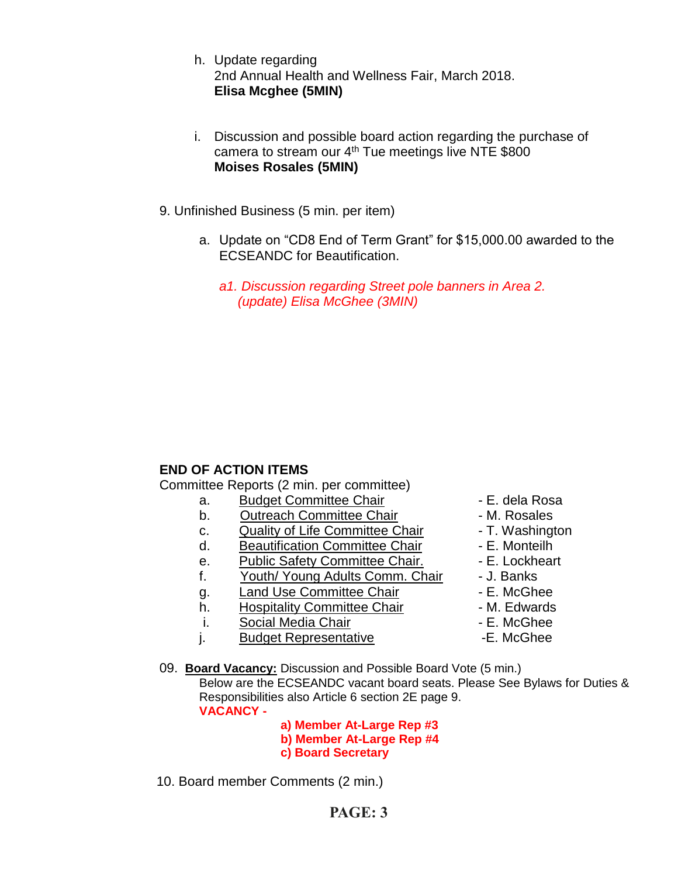- h. Update regarding 2nd Annual Health and Wellness Fair, March 2018. **Elisa Mcghee (5MIN)**
- i. Discussion and possible board action regarding the purchase of camera to stream our 4<sup>th</sup> Tue meetings live NTE \$800 **Moises Rosales (5MIN)**
- 9. Unfinished Business (5 min. per item)
	- a. Update on "CD8 End of Term Grant" for \$15,000.00 awarded to the ECSEANDC for Beautification.
		- *a1. Discussion regarding Street pole banners in Area 2. (update) Elisa McGhee (3MIN)*

## **END OF ACTION ITEMS**

Committee Reports (2 min. per committee)

- a. Budget Committee Chair  **E. dela Rosa**
- b. Outreach Committee Chair **Day 1. 1. Solut Franch Committee Chair M. Rosales**
- c. Quality of Life Committee Chair T. Washington
- d. Beautification Committee Chair Fame E. Monteilh
- e. Public Safety Committee Chair. E. Lockheart
- f. Youth/ Young Adults Comm. Chair J. Banks
- q. Land Use Committee Chair **E. McGhee**
- h. Hospitality Committee Chair  **M. Edwards**
- i. Social Media Chair **Chair Canada E. McGhee**
- j. Budget Representative **-E. McGhee**
- 
- 
- 
- 
- 
- 
- 
- 
- 
- 
- 09. **Board Vacancy:** Discussion and Possible Board Vote (5 min.) Below are the ECSEANDC vacant board seats. Please See Bylaws for Duties & Responsibilities also Article 6 section 2E page 9. **VACANCY -**

 **a) Member At-Large Rep #3 b) Member At-Large Rep #4 c) Board Secretary**

10. Board member Comments (2 min.)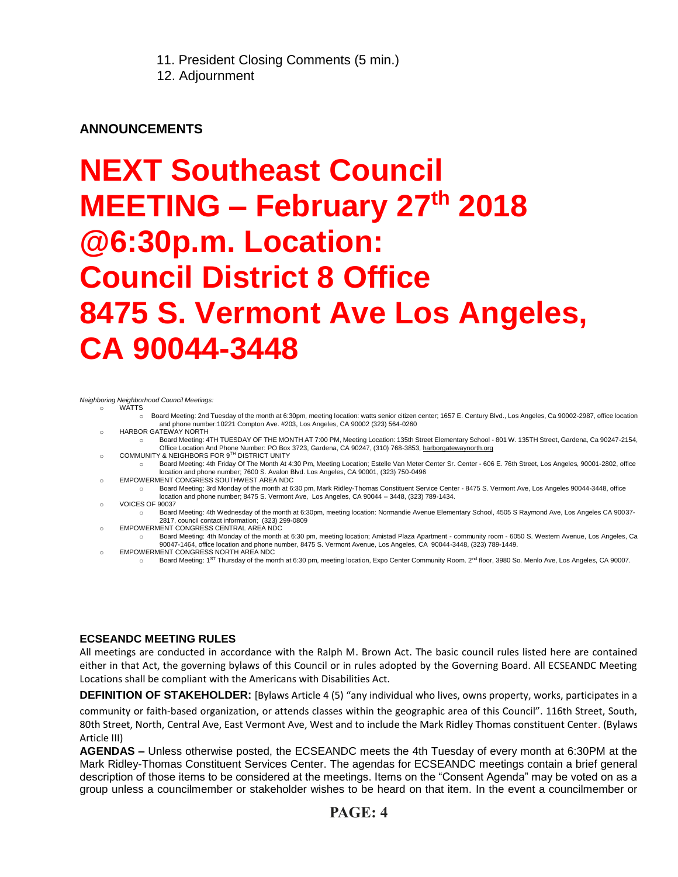11. President Closing Comments (5 min.)

12. Adjournment

## **ANNOUNCEMENTS**

# **NEXT Southeast Council MEETING – February 27 th 2018 @6:30p.m. Location: Council District 8 Office 8475 S. Vermont Ave Los Angeles, CA 90044-3448**

*Neighboring Neighborhood Council Meetings:*

- **WATTS** 
	- o Board Meeting: 2nd Tuesday of the month at 6:30pm, meeting location: watts senior citizen center; 1657 E. Century Blvd., Los Angeles, Ca 90002-2987, office location and phone number:10221 Compton Ave. #203, Los Angeles, CA 90002 (323) 564-0260 o HARBOR GATEWAY NORTH
	-
	- o Board Meeting: 4TH TUESDAY OF THE MONTH AT 7:00 PM, Meeting Location: 135th Street Elementary School 801 W. 135TH Street, Gardena, Ca 90247-2154, o Community And Phone Number: PO Box 3723, Gardena, CA 90247, (310) 768-3853, <u>harborgatewaynorth.org وC</u>OMMUNITY & NEIGHBORS FOR 9<sup>TH</sup> DISTRICT UNITY
	- o Board Meeting: 4th Friday Of The Month At 4:30 Pm, Meeting Location; Estelle Van Meter Center Sr. Center 606 E. 76th Street, Los Angeles, 90001-2802, office location and phone number; 7600 S. Avalon Blvd. Los Angeles, CA 90001, (323) 750-0496
	- o EMPOWERMENT CONGRESS SOUTHWEST AREA NDC o Board Meeting: 3rd Monday of the month at 6:30 pm, Mark Ridley-Thomas Constituent Service Center - 8475 S. Vermont Ave, Los Angeles 90044-3448, office location and phone number; 8475 S. Vermont Ave, Los Angeles, CA 90044 – 3448, (323) 789-1434.
	- o VOICES OF 90037
		- o Board Meeting: 4th Wednesday of the month at 6:30pm, meeting location: Normandie Avenue Elementary School, 4505 S Raymond Ave, Los Angeles CA 90037- 2817, council contact information; (323) 299-0809
	- o EMPOWERMENT CONGRESS CENTRAL AREA NDC
	- o Board Meeting: 4th Monday of the month at 6:30 pm, meeting location; Amistad Plaza Apartment community room 6050 S. Western Avenue, Los Angeles, Ca 90047-1464, office location and phone number, 8475 S. Vermont Avenue, Los Angeles, CA 90044-3448, (323) 789-1449. EMPOWERMENT CONGRESS NORTH AREA NDC
	- Board Meeting: 1<sup>ST</sup> Thursday of the month at 6:30 pm, meeting location, Expo Center Community Room. 2<sup>nd</sup> floor, 3980 So. Menlo Ave, Los Angeles, CA 90007.

### **ECSEANDC MEETING RULES**

All meetings are conducted in accordance with the Ralph M. Brown Act. The basic council rules listed here are contained either in that Act, the governing bylaws of this Council or in rules adopted by the Governing Board. All ECSEANDC Meeting Locations shall be compliant with the Americans with Disabilities Act.

**DEFINITION OF STAKEHOLDER:** [Bylaws Article 4 (5) "any individual who lives, owns property, works, participates in a

community or faith-based organization, or attends classes within the geographic area of this Council". 116th Street, South, 80th Street, North, Central Ave, East Vermont Ave, West and to include the Mark Ridley Thomas constituent Center. (Bylaws Article III)

**AGENDAS –** Unless otherwise posted, the ECSEANDC meets the 4th Tuesday of every month at 6:30PM at the Mark Ridley-Thomas Constituent Services Center. The agendas for ECSEANDC meetings contain a brief general description of those items to be considered at the meetings. Items on the "Consent Agenda" may be voted on as a group unless a councilmember or stakeholder wishes to be heard on that item. In the event a councilmember or